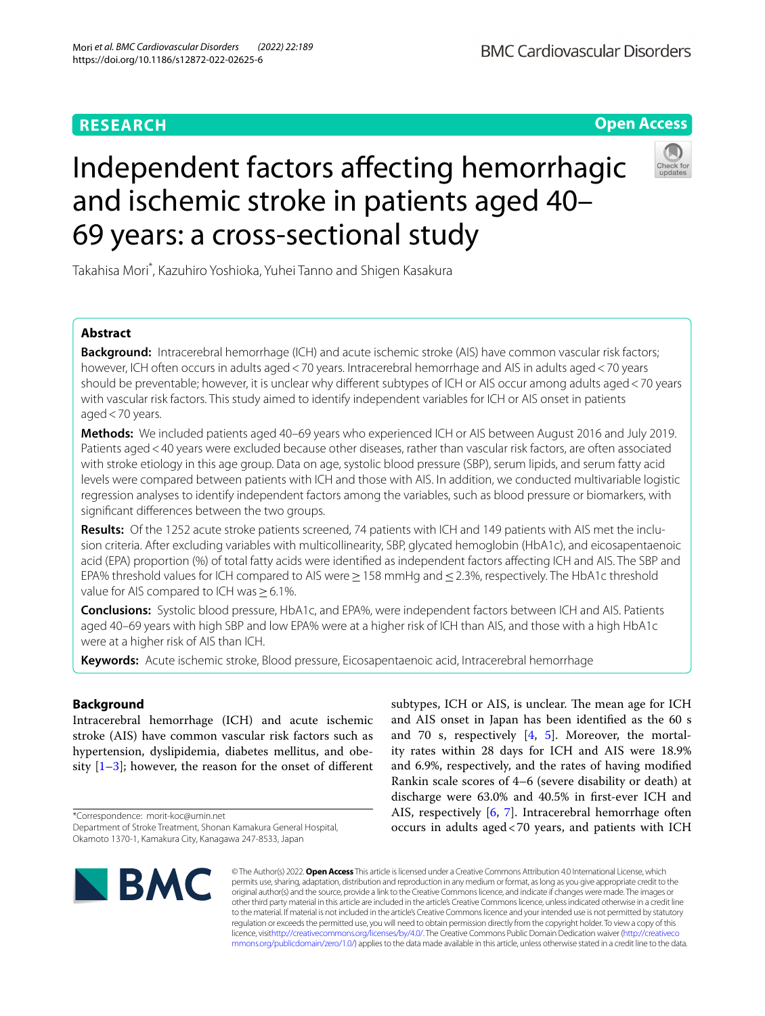# **RESEARCH**

# Independent factors afecting hemorrhagic and ischemic stroke in patients aged 40– 69 years: a cross-sectional study

Takahisa Mori\* , Kazuhiro Yoshioka, Yuhei Tanno and Shigen Kasakura

# **Abstract**

**Background:** Intracerebral hemorrhage (ICH) and acute ischemic stroke (AIS) have common vascular risk factors; however. ICH often occurs in adults aged < 70 years. Intracerebral hemorrhage and AIS in adults aged < 70 years should be preventable; however, it is unclear why different subtypes of ICH or AIS occur among adults aged < 70 years with vascular risk factors. This study aimed to identify independent variables for ICH or AIS onset in patients aged  $<$  70 years.

**Methods:** We included patients aged 40–69 years who experienced ICH or AIS between August 2016 and July 2019. Patients aged<40 years were excluded because other diseases, rather than vascular risk factors, are often associated with stroke etiology in this age group. Data on age, systolic blood pressure (SBP), serum lipids, and serum fatty acid levels were compared between patients with ICH and those with AIS. In addition, we conducted multivariable logistic regression analyses to identify independent factors among the variables, such as blood pressure or biomarkers, with signifcant diferences between the two groups.

**Results:** Of the 1252 acute stroke patients screened, 74 patients with ICH and 149 patients with AIS met the inclusion criteria. After excluding variables with multicollinearity, SBP, glycated hemoglobin (HbA1c), and eicosapentaenoic acid (EPA) proportion (%) of total fatty acids were identifed as independent factors afecting ICH and AIS. The SBP and EPA% threshold values for ICH compared to AIS were ≥ 158 mmHg and ≤ 2.3%, respectively. The HbA1c threshold value for AIS compared to ICH was≥6.1%.

**Conclusions:** Systolic blood pressure, HbA1c, and EPA%, were independent factors between ICH and AIS. Patients aged 40–69 years with high SBP and low EPA% were at a higher risk of ICH than AIS, and those with a high HbA1c were at a higher risk of AIS than ICH.

**Keywords:** Acute ischemic stroke, Blood pressure, Eicosapentaenoic acid, Intracerebral hemorrhage

# **Background**

Intracerebral hemorrhage (ICH) and acute ischemic stroke (AIS) have common vascular risk factors such as hypertension, dyslipidemia, diabetes mellitus, and obesity  $[1-3]$  $[1-3]$ ; however, the reason for the onset of different

\*Correspondence: morit-koc@umin.net

subtypes, ICH or AIS, is unclear. The mean age for ICH and AIS onset in Japan has been identifed as the 60 s and 70 s, respectively  $[4, 5]$  $[4, 5]$  $[4, 5]$  $[4, 5]$ . Moreover, the mortality rates within 28 days for ICH and AIS were 18.9% and 6.9%, respectively, and the rates of having modifed Rankin scale scores of 4–6 (severe disability or death) at discharge were 63.0% and 40.5% in frst-ever ICH and AIS, respectively [[6,](#page-5-4) [7\]](#page-5-5). Intracerebral hemorrhage often occurs in adults aged<70 years, and patients with ICH



© The Author(s) 2022. **Open Access** This article is licensed under a Creative Commons Attribution 4.0 International License, which permits use, sharing, adaptation, distribution and reproduction in any medium or format, as long as you give appropriate credit to the original author(s) and the source, provide a link to the Creative Commons licence, and indicate if changes were made. The images or other third party material in this article are included in the article's Creative Commons licence, unless indicated otherwise in a credit line to the material. If material is not included in the article's Creative Commons licence and your intended use is not permitted by statutory regulation or exceeds the permitted use, you will need to obtain permission directly from the copyright holder. To view a copy of this licence, visi[thttp://creativecommons.org/licenses/by/4.0/](http://creativecommons.org/licenses/by/4.0/). The Creative Commons Public Domain Dedication waiver [\(http://creativeco](http://creativecommons.org/publicdomain/zero/1.0/) [mmons.org/publicdomain/zero/1.0/](http://creativecommons.org/publicdomain/zero/1.0/)) applies to the data made available in this article, unless otherwise stated in a credit line to the data.



**Open Access**

Department of Stroke Treatment, Shonan Kamakura General Hospital, Okamoto 1370-1, Kamakura City, Kanagawa 247-8533, Japan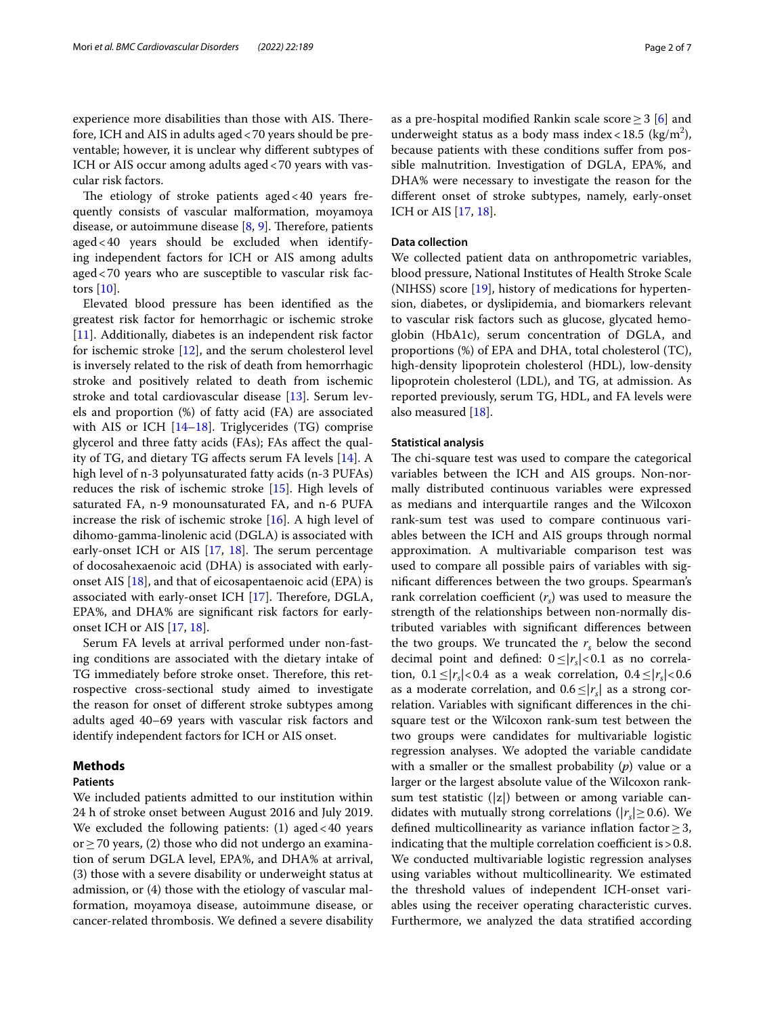experience more disabilities than those with AIS. Therefore, ICH and AIS in adults aged<70 years should be preventable; however, it is unclear why diferent subtypes of ICH or AIS occur among adults aged<70 years with vascular risk factors.

The etiology of stroke patients aged  $<$  40 years frequently consists of vascular malformation, moyamoya disease, or autoimmune disease  $[8, 9]$  $[8, 9]$  $[8, 9]$ . Therefore, patients aged<40 years should be excluded when identifying independent factors for ICH or AIS among adults aged<70 years who are susceptible to vascular risk factors [\[10\]](#page-5-8).

Elevated blood pressure has been identifed as the greatest risk factor for hemorrhagic or ischemic stroke [[11\]](#page-5-9). Additionally, diabetes is an independent risk factor for ischemic stroke [\[12](#page-5-10)], and the serum cholesterol level is inversely related to the risk of death from hemorrhagic stroke and positively related to death from ischemic stroke and total cardiovascular disease [[13](#page-5-11)]. Serum levels and proportion (%) of fatty acid (FA) are associated with AIS or ICH [\[14](#page-5-12)[–18](#page-5-13)]. Triglycerides (TG) comprise glycerol and three fatty acids (FAs); FAs afect the quality of TG, and dietary TG afects serum FA levels [[14](#page-5-12)]. A high level of n-3 polyunsaturated fatty acids (n-3 PUFAs) reduces the risk of ischemic stroke [[15](#page-5-14)]. High levels of saturated FA, n-9 monounsaturated FA, and n-6 PUFA increase the risk of ischemic stroke [\[16](#page-5-15)]. A high level of dihomo-gamma-linolenic acid (DGLA) is associated with early-onset ICH or AIS  $[17, 18]$  $[17, 18]$  $[17, 18]$  $[17, 18]$  $[17, 18]$ . The serum percentage of docosahexaenoic acid (DHA) is associated with earlyonset AIS [\[18](#page-5-13)], and that of eicosapentaenoic acid (EPA) is associated with early-onset ICH  $[17]$  $[17]$ . Therefore, DGLA, EPA%, and DHA% are signifcant risk factors for earlyonset ICH or AIS [\[17](#page-5-16), [18\]](#page-5-13).

Serum FA levels at arrival performed under non-fasting conditions are associated with the dietary intake of TG immediately before stroke onset. Therefore, this retrospective cross-sectional study aimed to investigate the reason for onset of diferent stroke subtypes among adults aged 40–69 years with vascular risk factors and identify independent factors for ICH or AIS onset.

# **Methods**

### **Patients**

We included patients admitted to our institution within 24 h of stroke onset between August 2016 and July 2019. We excluded the following patients:  $(1)$  aged  $< 40$  years or≥70 years, (2) those who did not undergo an examination of serum DGLA level, EPA%, and DHA% at arrival, (3) those with a severe disability or underweight status at admission, or (4) those with the etiology of vascular malformation, moyamoya disease, autoimmune disease, or cancer-related thrombosis. We defned a severe disability as a pre-hospital modified Rankin scale score  $\geq$  3 [\[6](#page-5-4)] and underweight status as a body mass index <  $18.5 \text{ (kg/m}^2)$ , because patients with these conditions sufer from possible malnutrition. Investigation of DGLA, EPA%, and DHA% were necessary to investigate the reason for the

diferent onset of stroke subtypes, namely, early-onset

#### **Data collection**

ICH or AIS [[17,](#page-5-16) [18](#page-5-13)].

We collected patient data on anthropometric variables, blood pressure, National Institutes of Health Stroke Scale (NIHSS) score [\[19\]](#page-5-17), history of medications for hypertension, diabetes, or dyslipidemia, and biomarkers relevant to vascular risk factors such as glucose, glycated hemoglobin (HbA1c), serum concentration of DGLA, and proportions (%) of EPA and DHA, total cholesterol (TC), high-density lipoprotein cholesterol (HDL), low-density lipoprotein cholesterol (LDL), and TG, at admission. As reported previously, serum TG, HDL, and FA levels were also measured [[18](#page-5-13)].

## **Statistical analysis**

The chi-square test was used to compare the categorical variables between the ICH and AIS groups. Non-normally distributed continuous variables were expressed as medians and interquartile ranges and the Wilcoxon rank-sum test was used to compare continuous variables between the ICH and AIS groups through normal approximation. A multivariable comparison test was used to compare all possible pairs of variables with signifcant diferences between the two groups. Spearman's rank correlation coefficient  $(r<sub>s</sub>)$  was used to measure the strength of the relationships between non-normally distributed variables with signifcant diferences between the two groups. We truncated the  $r<sub>s</sub>$  below the second decimal point and defined:  $0 \le |r_s| < 0.1$  as no correlation,  $0.1 \le |r_s|$  < 0.4 as a weak correlation,  $0.4 \le |r_s|$  < 0.6 as a moderate correlation, and  $0.6 \leq |r_s|$  as a strong correlation. Variables with signifcant diferences in the chisquare test or the Wilcoxon rank-sum test between the two groups were candidates for multivariable logistic regression analyses. We adopted the variable candidate with a smaller or the smallest probability (*p*) value or a larger or the largest absolute value of the Wilcoxon ranksum test statistic (|z|) between or among variable candidates with mutually strong correlations ( $|r_s| \geq 0.6$ ). We defined multicollinearity as variance inflation factor  $\geq$  3, indicating that the multiple correlation coefficient is  $> 0.8$ . We conducted multivariable logistic regression analyses using variables without multicollinearity. We estimated the threshold values of independent ICH-onset variables using the receiver operating characteristic curves. Furthermore, we analyzed the data stratifed according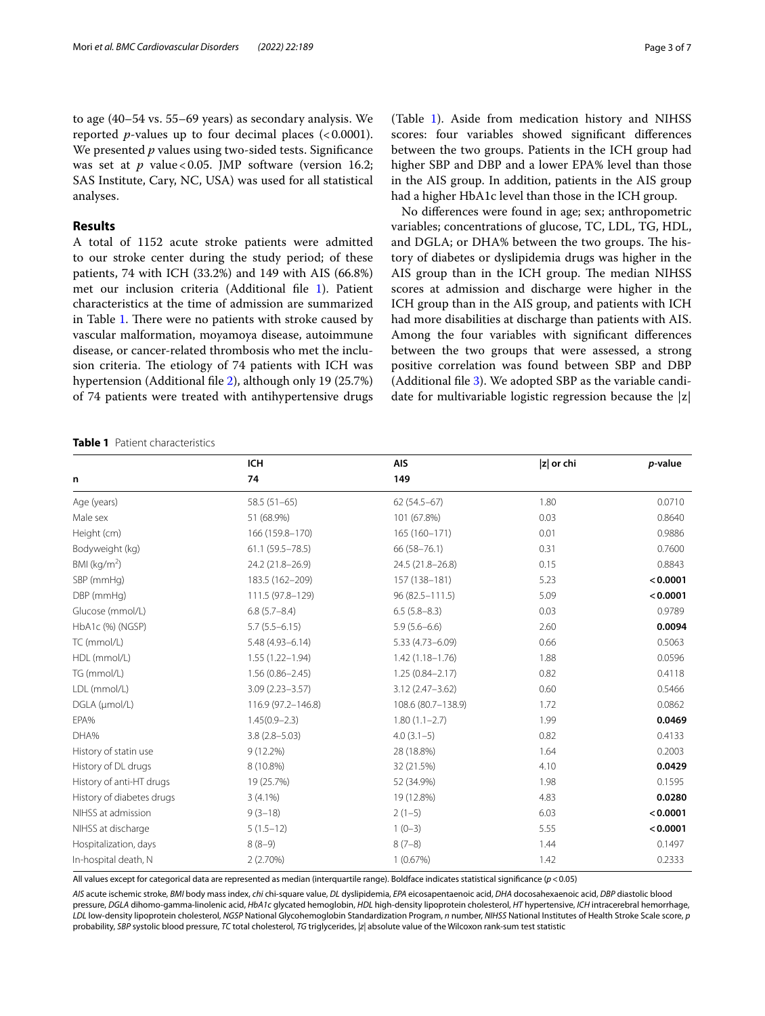to age (40–54 vs. 55–69 years) as secondary analysis. We reported *p*-values up to four decimal places  $\langle$  < 0.0001). We presented *p* values using two-sided tests. Signifcance was set at  $p$  value < 0.05. JMP software (version 16.2; SAS Institute, Cary, NC, USA) was used for all statistical analyses.

# **Results**

A total of 1152 acute stroke patients were admitted to our stroke center during the study period; of these patients, 74 with ICH (33.2%) and 149 with AIS (66.8%) met our inclusion criteria (Additional fle [1\)](#page-5-18). Patient characteristics at the time of admission are summarized in Table [1.](#page-2-0) There were no patients with stroke caused by vascular malformation, moyamoya disease, autoimmune disease, or cancer-related thrombosis who met the inclusion criteria. The etiology of 74 patients with ICH was hypertension (Additional fle [2\)](#page-5-19), although only 19 (25.7%) of 74 patients were treated with antihypertensive drugs

(Table [1](#page-2-0)). Aside from medication history and NIHSS scores: four variables showed signifcant diferences between the two groups. Patients in the ICH group had higher SBP and DBP and a lower EPA% level than those in the AIS group. In addition, patients in the AIS group had a higher HbA1c level than those in the ICH group.

No diferences were found in age; sex; anthropometric variables; concentrations of glucose, TC, LDL, TG, HDL, and DGLA; or DHA% between the two groups. The history of diabetes or dyslipidemia drugs was higher in the AIS group than in the ICH group. The median NIHSS scores at admission and discharge were higher in the ICH group than in the AIS group, and patients with ICH had more disabilities at discharge than patients with AIS. Among the four variables with signifcant diferences between the two groups that were assessed, a strong positive correlation was found between SBP and DBP (Additional fle [3\)](#page-5-20). We adopted SBP as the variable candidate for multivariable logistic regression because the |z|

<span id="page-2-0"></span>**Table 1** Patient characteristics

|                           | <b>ICH</b>           | <b>AIS</b>          | z  or chi | p-value  |  |
|---------------------------|----------------------|---------------------|-----------|----------|--|
| n                         | 74                   | 149                 |           |          |  |
| Age (years)               | $58.5(51-65)$        | $62(54.5 - 67)$     | 1.80      | 0.0710   |  |
| Male sex                  | 51 (68.9%)           | 101 (67.8%)         | 0.03      | 0.8640   |  |
| Height (cm)               | 166 (159.8-170)      | 165 (160-171)       | 0.01      | 0.9886   |  |
| Bodyweight (kg)           | $61.1 (59.5 - 78.5)$ | 66 (58-76.1)        | 0.31      | 0.7600   |  |
| BMI ( $\text{kg/m}^2$ )   | 24.2 (21.8-26.9)     | 24.5 (21.8-26.8)    | 0.15      | 0.8843   |  |
| SBP (mmHg)                | 183.5 (162-209)      | 157 (138-181)       | 5.23      | < 0.0001 |  |
| DBP (mmHg)                | 111.5 (97.8-129)     | $96(82.5 - 111.5)$  | 5.09      | < 0.0001 |  |
| Glucose (mmol/L)          | $6.8(5.7 - 8.4)$     | $6.5(5.8-8.3)$      | 0.03      | 0.9789   |  |
| HbA1c (%) (NGSP)          | $5.7(5.5 - 6.15)$    | $5.9(5.6 - 6.6)$    | 2.60      | 0.0094   |  |
| TC (mmol/L)               | $5.48(4.93 - 6.14)$  | 5.33 (4.73-6.09)    | 0.66      | 0.5063   |  |
| HDL (mmol/L)              | $1.55(1.22 - 1.94)$  | $1.42(1.18 - 1.76)$ | 1.88      | 0.0596   |  |
| TG (mmol/L)               | $1.56(0.86 - 2.45)$  | $1.25(0.84 - 2.17)$ | 0.82      | 0.4118   |  |
| LDL (mmol/L)              | $3.09(2.23 - 3.57)$  | $3.12(2.47 - 3.62)$ | 0.60      | 0.5466   |  |
| DGLA (µmol/L)             | 116.9 (97.2-146.8)   | 108.6 (80.7-138.9)  | 1.72      | 0.0862   |  |
| EPA%                      | $1.45(0.9 - 2.3)$    | $1.80(1.1 - 2.7)$   | 1.99      | 0.0469   |  |
| DHA%                      | $3.8(2.8 - 5.03)$    | $4.0(3.1-5)$        | 0.82      | 0.4133   |  |
| History of statin use     | $9(12.2\%)$          | 28 (18.8%)          | 1.64      | 0.2003   |  |
| History of DL drugs       | 8 (10.8%)            | 32 (21.5%)          | 4.10      | 0.0429   |  |
| History of anti-HT drugs  | 19 (25.7%)           | 52 (34.9%)          | 1.98      | 0.1595   |  |
| History of diabetes drugs | $3(4.1\%)$           | 19 (12.8%)          | 4.83      | 0.0280   |  |
| NIHSS at admission        | $9(3-18)$            | $2(1-5)$            | 6.03      | < 0.0001 |  |
| NIHSS at discharge        | $5(1.5-12)$          | $1(0-3)$            | 5.55      | < 0.0001 |  |
| Hospitalization, days     | $8(8-9)$             | $8(7-8)$            | 1.44      | 0.1497   |  |
| In-hospital death, N      | 2(2.70%)             | 1(0.67%)            | 1.42      | 0.2333   |  |

All values except for categorical data are represented as median (interquartile range). Boldface indicates statistical signifcance (*p*<0.05)

*AIS* acute ischemic stroke, *BMI* body mass index, *chi* chi-square value, *DL* dyslipidemia, *EPA* eicosapentaenoic acid, *DHA* docosahexaenoic acid, *DBP* diastolic blood pressure, *DGLA* dihomo-gamma-linolenic acid, *HbA1c* glycated hemoglobin, *HDL* high-density lipoprotein cholesterol, *HT* hypertensive, *ICH* intracerebral hemorrhage, *LDL* low-density lipoprotein cholesterol, *NGSP* National Glycohemoglobin Standardization Program, *n* number, *NIHSS* National Institutes of Health Stroke Scale score, *p* probability, *SBP* systolic blood pressure, *TC* total cholesterol, *TG* triglycerides, *|z|* absolute value of the Wilcoxon rank-sum test statistic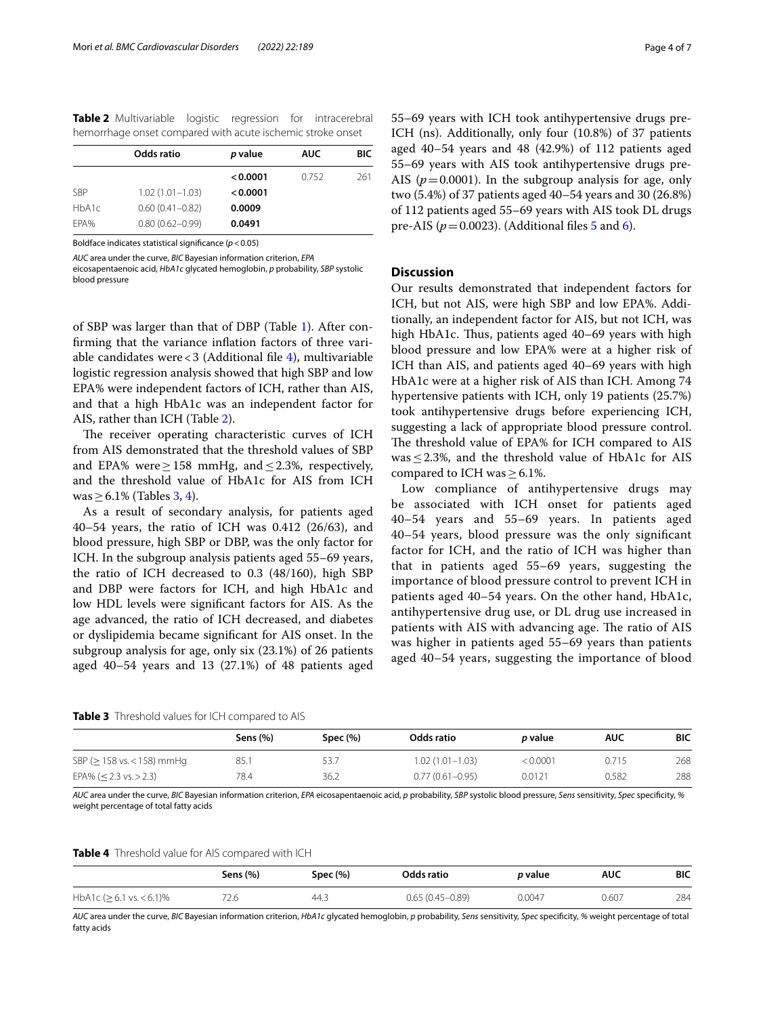<span id="page-3-0"></span>**Table 2** Multivariable logistic regression for intracerebral hemorrhage onset compared with acute ischemic stroke onset

| Odds ratio          | p value  | <b>AUC</b> | BIC |
|---------------------|----------|------------|-----|
|                     | < 0.0001 | 0.752      | 261 |
| $1.02(1.01 - 1.03)$ | < 0.0001 |            |     |
| $0.60(0.41 - 0.82)$ | 0.0009   |            |     |
| $0.80(0.62 - 0.99)$ | 0.0491   |            |     |
|                     |          |            |     |

Boldface indicates statistical signifcance (*p*<0.05)

*AUC* area under the curve, *BIC* Bayesian information criterion, *EPA*

eicosapentaenoic acid, *HbA1c* glycated hemoglobin, *p* probability, *SBP* systolic blood pressure

of SBP was larger than that of DBP (Table [1](#page-2-0)). After confrming that the variance infation factors of three variable candidates were  $<$  3 (Additional file [4](#page-5-21)), multivariable logistic regression analysis showed that high SBP and low EPA% were independent factors of ICH, rather than AIS, and that a high HbA1c was an independent factor for AIS, rather than ICH (Table [2\)](#page-3-0).

The receiver operating characteristic curves of ICH from AIS demonstrated that the threshold values of SBP and EPA% were  $\geq$  158 mmHg, and  $\leq$  2.3%, respectively, and the threshold value of HbA1c for AIS from ICH was  $\geq$  6.1% (Tables [3,](#page-3-1) [4](#page-3-2)).

As a result of secondary analysis, for patients aged 40–54 years, the ratio of ICH was 0.412 (26/63), and blood pressure, high SBP or DBP, was the only factor for ICH. In the subgroup analysis patients aged 55–69 years, the ratio of ICH decreased to 0.3 (48/160), high SBP and DBP were factors for ICH, and high HbA1c and low HDL levels were signifcant factors for AIS. As the age advanced, the ratio of ICH decreased, and diabetes or dyslipidemia became signifcant for AIS onset. In the subgroup analysis for age, only six (23.1%) of 26 patients aged 40–54 years and 13 (27.1%) of 48 patients aged

55–69 years with ICH took antihypertensive drugs pre-ICH (ns). Additionally, only four (10.8%) of 37 patients aged 40–54 years and 48 (42.9%) of 112 patients aged 55–69 years with AIS took antihypertensive drugs pre-AIS ( $p = 0.0001$ ). In the subgroup analysis for age, only two (5.4%) of 37 patients aged 40–54 years and 30 (26.8%) of 112 patients aged 55–69 years with AIS took DL drugs pre-AIS ( $p = 0.0023$ ). (Additional files  $\frac{5}{9}$  and  $\frac{6}{9}$ ).

## **Discussion**

Our results demonstrated that independent factors for ICH, but not AIS, were high SBP and low EPA%. Additionally, an independent factor for AIS, but not ICH, was high HbA1c. Thus, patients aged 40–69 years with high blood pressure and low EPA% were at a higher risk of ICH than AIS, and patients aged 40–69 years with high HbA1c were at a higher risk of AIS than ICH. Among 74 hypertensive patients with ICH, only 19 patients (25.7%) took antihypertensive drugs before experiencing ICH, suggesting a lack of appropriate blood pressure control. The threshold value of EPA% for ICH compared to AIS was  $\leq$  2.3%, and the threshold value of HbA1c for AIS compared to ICH was≥6.1%.

Low compliance of antihypertensive drugs may be associated with ICH onset for patients aged 40–54 years and 55–69 years. In patients aged 40–54 years, blood pressure was the only signifcant factor for ICH, and the ratio of ICH was higher than that in patients aged 55–69 years, suggesting the importance of blood pressure control to prevent ICH in patients aged 40–54 years. On the other hand, HbA1c, antihypertensive drug use, or DL drug use increased in patients with AIS with advancing age. The ratio of AIS was higher in patients aged 55–69 years than patients aged 40–54 years, suggesting the importance of blood

<span id="page-3-1"></span>**Table 3** Threshold values for ICH compared to AIS

|                                  | Sens (%) | Spec $(%)$ | Odds ratio          | <i>p</i> value | <b>AUC</b> | BIC |
|----------------------------------|----------|------------|---------------------|----------------|------------|-----|
| SBP ( $\geq$ 158 vs. < 158) mmHg | 85.7     | 53.7       | $1.02(1.01 - 1.03)$ | < 0.0001       | 0.715      | 268 |
| EPA% ( $<$ 2.3 vs. $>$ 2.3)      | 78.4     | 36.2       | $0.77(0.61 - 0.95)$ | 0.0121         | 0.582      | 288 |

AUC area under the curve, BIC Bayesian information criterion, EPA eicosapentaenoic acid, p probability, SBP systolic blood pressure, Sens sensitivity, Spec specificity, % weight percentage of total fatty acids

<span id="page-3-2"></span>**Table 4** Threshold value for AIS compared with ICH

|                                | Sens (%) | Spec (%) | Odds ratio       | <i>p</i> value | <b>AUC</b> | <b>BIC</b> |
|--------------------------------|----------|----------|------------------|----------------|------------|------------|
| HbA1c ( $> 6.1$ vs. $< 6.1$ )% | 72.6     | 44.3     | 0.65 (0.45-0.89) | 0.0047         | 0.607      | 284        |

*AUC* area under the curve, *BIC* Bayesian information criterion, *HbA1c* glycated hemoglobin, *p* probability, *Sens* sensitivity, *Spec* specifcity, *%* weight percentage of total fatty acids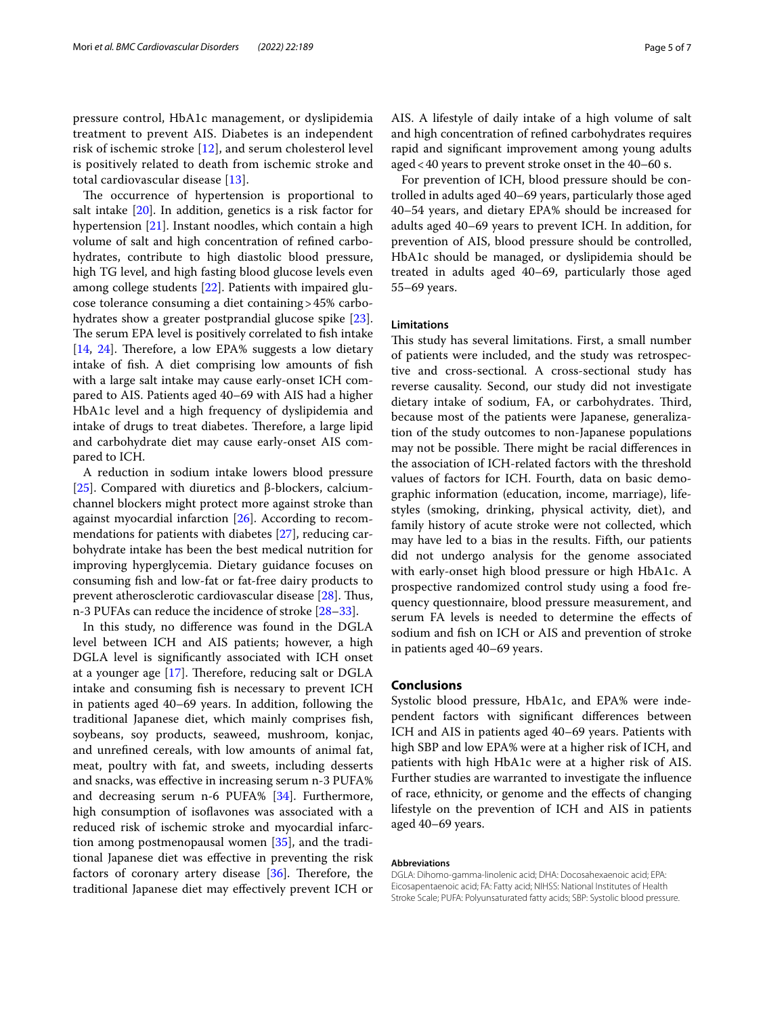pressure control, HbA1c management, or dyslipidemia treatment to prevent AIS. Diabetes is an independent risk of ischemic stroke [\[12](#page-5-10)], and serum cholesterol level is positively related to death from ischemic stroke and total cardiovascular disease [\[13](#page-5-11)].

The occurrence of hypertension is proportional to salt intake [\[20](#page-5-24)]. In addition, genetics is a risk factor for hypertension [[21](#page-5-25)]. Instant noodles, which contain a high volume of salt and high concentration of refned carbohydrates, contribute to high diastolic blood pressure, high TG level, and high fasting blood glucose levels even among college students [[22](#page-5-26)]. Patients with impaired glucose tolerance consuming a diet containing>45% carbohydrates show a greater postprandial glucose spike [\[23](#page-5-27)]. The serum EPA level is positively correlated to fish intake [[14,](#page-5-12) [24\]](#page-5-28). Therefore, a low EPA% suggests a low dietary intake of fsh. A diet comprising low amounts of fsh with a large salt intake may cause early-onset ICH compared to AIS. Patients aged 40–69 with AIS had a higher HbA1c level and a high frequency of dyslipidemia and intake of drugs to treat diabetes. Therefore, a large lipid and carbohydrate diet may cause early-onset AIS compared to ICH.

A reduction in sodium intake lowers blood pressure [[25\]](#page-5-29). Compared with diuretics and β-blockers, calciumchannel blockers might protect more against stroke than against myocardial infarction [[26](#page-5-30)]. According to recommendations for patients with diabetes [[27\]](#page-6-0), reducing carbohydrate intake has been the best medical nutrition for improving hyperglycemia. Dietary guidance focuses on consuming fsh and low-fat or fat-free dairy products to prevent atherosclerotic cardiovascular disease [\[28](#page-6-1)]. Thus, n-3 PUFAs can reduce the incidence of stroke [\[28](#page-6-1)[–33](#page-6-2)].

In this study, no diference was found in the DGLA level between ICH and AIS patients; however, a high DGLA level is signifcantly associated with ICH onset at a younger age  $[17]$  $[17]$ . Therefore, reducing salt or DGLA intake and consuming fsh is necessary to prevent ICH in patients aged 40–69 years. In addition, following the traditional Japanese diet, which mainly comprises fsh, soybeans, soy products, seaweed, mushroom, konjac, and unrefned cereals, with low amounts of animal fat, meat, poultry with fat, and sweets, including desserts and snacks, was efective in increasing serum n-3 PUFA% and decreasing serum n-6 PUFA% [\[34](#page-6-3)]. Furthermore, high consumption of isoflavones was associated with a reduced risk of ischemic stroke and myocardial infarction among postmenopausal women [\[35](#page-6-4)], and the traditional Japanese diet was efective in preventing the risk factors of coronary artery disease  $[36]$  $[36]$  $[36]$ . Therefore, the traditional Japanese diet may efectively prevent ICH or AIS. A lifestyle of daily intake of a high volume of salt and high concentration of refned carbohydrates requires rapid and signifcant improvement among young adults aged<40 years to prevent stroke onset in the 40–60 s.

For prevention of ICH, blood pressure should be controlled in adults aged 40–69 years, particularly those aged 40–54 years, and dietary EPA% should be increased for adults aged 40–69 years to prevent ICH. In addition, for prevention of AIS, blood pressure should be controlled, HbA1c should be managed, or dyslipidemia should be treated in adults aged 40–69, particularly those aged 55–69 years.

## **Limitations**

This study has several limitations. First, a small number of patients were included, and the study was retrospective and cross-sectional. A cross-sectional study has reverse causality. Second, our study did not investigate dietary intake of sodium, FA, or carbohydrates. Third, because most of the patients were Japanese, generalization of the study outcomes to non-Japanese populations may not be possible. There might be racial differences in the association of ICH-related factors with the threshold values of factors for ICH. Fourth, data on basic demographic information (education, income, marriage), lifestyles (smoking, drinking, physical activity, diet), and family history of acute stroke were not collected, which may have led to a bias in the results. Fifth, our patients did not undergo analysis for the genome associated with early-onset high blood pressure or high HbA1c. A prospective randomized control study using a food frequency questionnaire, blood pressure measurement, and serum FA levels is needed to determine the efects of sodium and fsh on ICH or AIS and prevention of stroke in patients aged 40–69 years.

# **Conclusions**

Systolic blood pressure, HbA1c, and EPA% were independent factors with signifcant diferences between ICH and AIS in patients aged 40–69 years. Patients with high SBP and low EPA% were at a higher risk of ICH, and patients with high HbA1c were at a higher risk of AIS. Further studies are warranted to investigate the infuence of race, ethnicity, or genome and the efects of changing lifestyle on the prevention of ICH and AIS in patients aged 40–69 years.

#### **Abbreviations**

DGLA: Dihomo-gamma-linolenic acid; DHA: Docosahexaenoic acid; EPA: Eicosapentaenoic acid; FA: Fatty acid; NIHSS: National Institutes of Health Stroke Scale; PUFA: Polyunsaturated fatty acids; SBP: Systolic blood pressure.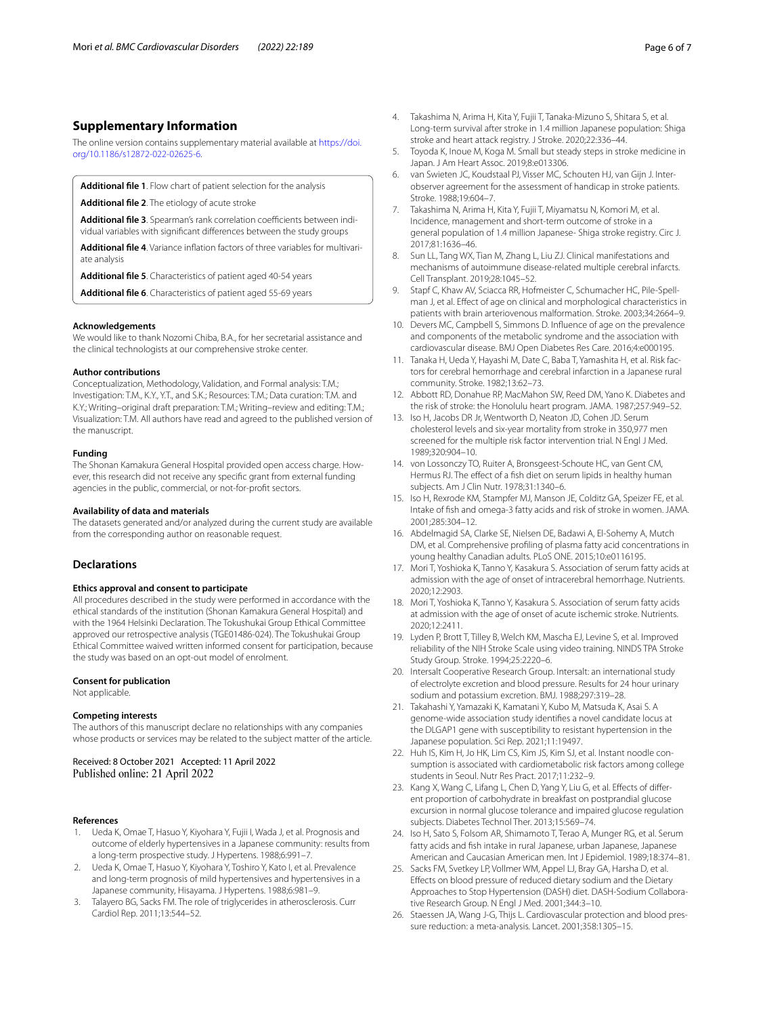# **Supplementary Information**

The online version contains supplementary material available at [https://doi.](https://doi.org/10.1186/s12872-022-02625-6) [org/10.1186/s12872-022-02625-6](https://doi.org/10.1186/s12872-022-02625-6).

<span id="page-5-19"></span><span id="page-5-18"></span>**Additional fle 1**. Flow chart of patient selection for the analysis

<span id="page-5-20"></span>**Additional fle 2**. The etiology of acute stroke

<span id="page-5-21"></span>**Additional file 3**. Spearman's rank correlation coefficients between individual variables with significant differences between the study groups

<span id="page-5-22"></span>**Additional fle 4**. Variance infation factors of three variables for multivariate analysis

<span id="page-5-23"></span>**Additional fle 5**. Characteristics of patient aged 40-54 years

**Additional fle 6**. Characteristics of patient aged 55-69 years

#### **Acknowledgements**

We would like to thank Nozomi Chiba, B.A., for her secretarial assistance and the clinical technologists at our comprehensive stroke center.

#### **Author contributions**

Conceptualization, Methodology, Validation, and Formal analysis: T.M.; Investigation: T.M., K.Y., Y.T., and S.K.; Resources: T.M.; Data curation: T.M. and K.Y.; Writing–original draft preparation: T.M.; Writing–review and editing: T.M.; Visualization: T.M. All authors have read and agreed to the published version of the manuscript.

#### **Funding**

The Shonan Kamakura General Hospital provided open access charge. However, this research did not receive any specifc grant from external funding agencies in the public, commercial, or not-for-proft sectors.

#### **Availability of data and materials**

The datasets generated and/or analyzed during the current study are available from the corresponding author on reasonable request.

#### **Declarations**

#### **Ethics approval and consent to participate**

All procedures described in the study were performed in accordance with the ethical standards of the institution (Shonan Kamakura General Hospital) and with the 1964 Helsinki Declaration. The Tokushukai Group Ethical Committee approved our retrospective analysis (TGE01486-024). The Tokushukai Group Ethical Committee waived written informed consent for participation, because the study was based on an opt-out model of enrolment.

#### **Consent for publication**

Not applicable.

#### **Competing interests**

The authors of this manuscript declare no relationships with any companies whose products or services may be related to the subject matter of the article.

Received: 8 October 2021 Accepted: 11 April 2022 Published online: 21 April 2022

#### **References**

- <span id="page-5-0"></span>Ueda K, Omae T, Hasuo Y, Kiyohara Y, Fujii I, Wada J, et al. Prognosis and outcome of elderly hypertensives in a Japanese community: results from a long-term prospective study. J Hypertens. 1988;6:991–7.
- 2. Ueda K, Omae T, Hasuo Y, Kiyohara Y, Toshiro Y, Kato I, et al. Prevalence and long-term prognosis of mild hypertensives and hypertensives in a Japanese community, Hisayama. J Hypertens. 1988;6:981–9.
- <span id="page-5-1"></span>3. Talayero BG, Sacks FM. The role of triglycerides in atherosclerosis. Curr Cardiol Rep. 2011;13:544–52.
- <span id="page-5-3"></span><span id="page-5-2"></span>5. Toyoda K, Inoue M, Koga M. Small but steady steps in stroke medicine in Japan. J Am Heart Assoc. 2019;8:e013306.
- <span id="page-5-4"></span>6. van Swieten JC, Koudstaal PJ, Visser MC, Schouten HJ, van Gijn J. Interobserver agreement for the assessment of handicap in stroke patients. Stroke. 1988;19:604–7.
- <span id="page-5-5"></span>7. Takashima N, Arima H, Kita Y, Fujii T, Miyamatsu N, Komori M, et al. Incidence, management and short-term outcome of stroke in a general population of 1.4 million Japanese- Shiga stroke registry. Circ J. 2017;81:1636–46.
- <span id="page-5-6"></span>8. Sun LL, Tang WX, Tian M, Zhang L, Liu ZJ. Clinical manifestations and mechanisms of autoimmune disease-related multiple cerebral infarcts. Cell Transplant. 2019;28:1045–52.
- <span id="page-5-7"></span>9. Stapf C, Khaw AV, Sciacca RR, Hofmeister C, Schumacher HC, Pile-Spellman J, et al. Efect of age on clinical and morphological characteristics in patients with brain arteriovenous malformation. Stroke. 2003;34:2664–9.
- <span id="page-5-8"></span>10. Devers MC, Campbell S, Simmons D. Infuence of age on the prevalence and components of the metabolic syndrome and the association with cardiovascular disease. BMJ Open Diabetes Res Care. 2016;4:e000195.
- <span id="page-5-9"></span>11. Tanaka H, Ueda Y, Hayashi M, Date C, Baba T, Yamashita H, et al. Risk factors for cerebral hemorrhage and cerebral infarction in a Japanese rural community. Stroke. 1982;13:62–73.
- <span id="page-5-10"></span>12. Abbott RD, Donahue RP, MacMahon SW, Reed DM, Yano K. Diabetes and the risk of stroke: the Honolulu heart program. JAMA. 1987;257:949–52.
- <span id="page-5-11"></span>13. Iso H, Jacobs DR Jr, Wentworth D, Neaton JD, Cohen JD. Serum cholesterol levels and six-year mortality from stroke in 350,977 men screened for the multiple risk factor intervention trial. N Engl J Med. 1989;320:904–10.
- <span id="page-5-12"></span>14. von Lossonczy TO, Ruiter A, Bronsgeest-Schoute HC, van Gent CM, Hermus RJ. The efect of a fsh diet on serum lipids in healthy human subjects. Am J Clin Nutr. 1978;31:1340–6.
- <span id="page-5-14"></span>15. Iso H, Rexrode KM, Stampfer MJ, Manson JE, Colditz GA, Speizer FE, et al. Intake of fsh and omega-3 fatty acids and risk of stroke in women. JAMA. 2001;285:304–12.
- <span id="page-5-15"></span>16. Abdelmagid SA, Clarke SE, Nielsen DE, Badawi A, El-Sohemy A, Mutch DM, et al. Comprehensive profling of plasma fatty acid concentrations in young healthy Canadian adults. PLoS ONE. 2015;10:e0116195.
- <span id="page-5-16"></span>17. Mori T, Yoshioka K, Tanno Y, Kasakura S. Association of serum fatty acids at admission with the age of onset of intracerebral hemorrhage. Nutrients. 2020;12:2903.
- <span id="page-5-13"></span>18. Mori T, Yoshioka K, Tanno Y, Kasakura S. Association of serum fatty acids at admission with the age of onset of acute ischemic stroke. Nutrients. 2020;12:2411.
- <span id="page-5-17"></span>19. Lyden P, Brott T, Tilley B, Welch KM, Mascha EJ, Levine S, et al. Improved reliability of the NIH Stroke Scale using video training. NINDS TPA Stroke Study Group. Stroke. 1994;25:2220–6.
- <span id="page-5-24"></span>20. Intersalt Cooperative Research Group. Intersalt: an international study of electrolyte excretion and blood pressure. Results for 24 hour urinary sodium and potassium excretion. BMJ. 1988;297:319–28.
- <span id="page-5-25"></span>21. Takahashi Y, Yamazaki K, Kamatani Y, Kubo M, Matsuda K, Asai S. A genome-wide association study identifes a novel candidate locus at the DLGAP1 gene with susceptibility to resistant hypertension in the Japanese population. Sci Rep. 2021;11:19497.
- <span id="page-5-26"></span>22. Huh IS, Kim H, Jo HK, Lim CS, Kim JS, Kim SJ, et al. Instant noodle consumption is associated with cardiometabolic risk factors among college students in Seoul. Nutr Res Pract. 2017;11:232–9.
- <span id="page-5-27"></span>23. Kang X, Wang C, Lifang L, Chen D, Yang Y, Liu G, et al. Efects of diferent proportion of carbohydrate in breakfast on postprandial glucose excursion in normal glucose tolerance and impaired glucose regulation subjects. Diabetes Technol Ther. 2013;15:569–74.
- <span id="page-5-28"></span>24. Iso H, Sato S, Folsom AR, Shimamoto T, Terao A, Munger RG, et al. Serum fatty acids and fsh intake in rural Japanese, urban Japanese, Japanese American and Caucasian American men. Int J Epidemiol. 1989;18:374–81.
- <span id="page-5-29"></span>25. Sacks FM, Svetkey LP, Vollmer WM, Appel LJ, Bray GA, Harsha D, et al. Efects on blood pressure of reduced dietary sodium and the Dietary Approaches to Stop Hypertension (DASH) diet. DASH-Sodium Collaborative Research Group. N Engl J Med. 2001;344:3–10.
- <span id="page-5-30"></span>26. Staessen JA, Wang J-G, Thijs L. Cardiovascular protection and blood pressure reduction: a meta-analysis. Lancet. 2001;358:1305–15.